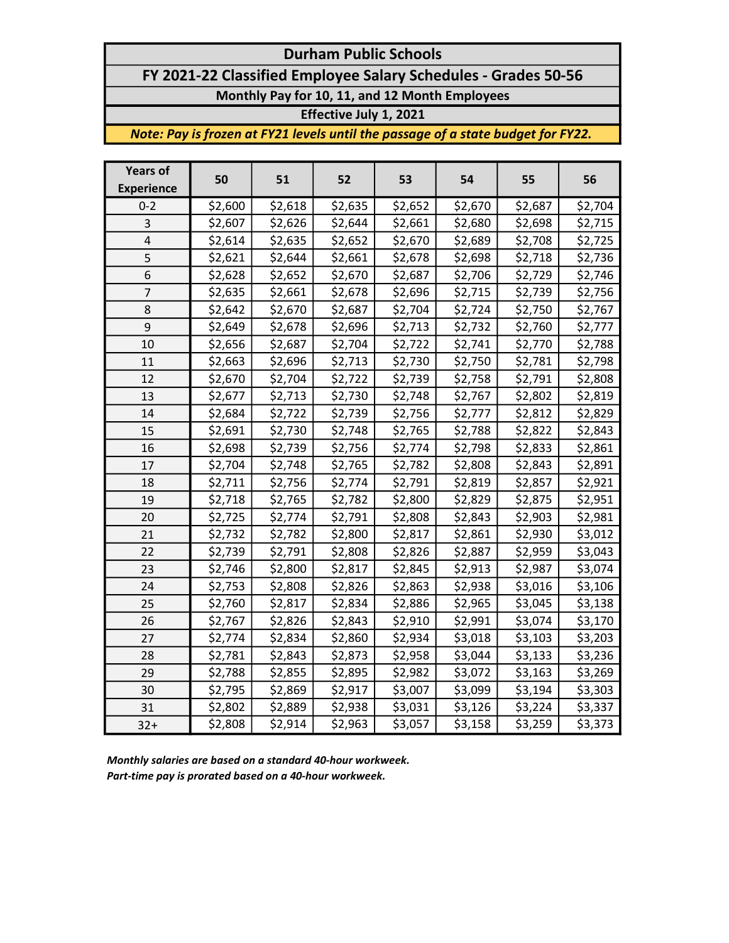# Durham Public Schools FY 2021-22 Classified Employee Salary Schedules - Grades 50-56 Monthly Pay for 10, 11, and 12 Month Employees

### Effective July 1, 2021

Note: Pay is frozen at FY21 levels until the passage of a state budget for FY22.

| <b>Years of</b><br><b>Experience</b> | 50      | 51      | 52      | 53      | 54      | 55      | 56      |
|--------------------------------------|---------|---------|---------|---------|---------|---------|---------|
| $0 - 2$                              | \$2,600 | \$2,618 | \$2,635 | \$2,652 | \$2,670 | \$2,687 | \$2,704 |
| 3                                    | \$2,607 | \$2,626 | \$2,644 | \$2,661 | \$2,680 | \$2,698 | \$2,715 |
| 4                                    | \$2,614 | \$2,635 | \$2,652 | \$2,670 | \$2,689 | \$2,708 | \$2,725 |
| 5                                    | \$2,621 | \$2,644 | \$2,661 | \$2,678 | \$2,698 | \$2,718 | \$2,736 |
| 6                                    | \$2,628 | \$2,652 | \$2,670 | \$2,687 | \$2,706 | \$2,729 | \$2,746 |
| $\overline{7}$                       | \$2,635 | \$2,661 | \$2,678 | \$2,696 | \$2,715 | \$2,739 | \$2,756 |
| 8                                    | \$2,642 | \$2,670 | \$2,687 | \$2,704 | \$2,724 | \$2,750 | \$2,767 |
| 9                                    | \$2,649 | \$2,678 | \$2,696 | \$2,713 | \$2,732 | \$2,760 | \$2,777 |
| 10                                   | \$2,656 | \$2,687 | \$2,704 | \$2,722 | \$2,741 | \$2,770 | \$2,788 |
| 11                                   | \$2,663 | \$2,696 | \$2,713 | \$2,730 | \$2,750 | \$2,781 | \$2,798 |
| 12                                   | \$2,670 | \$2,704 | \$2,722 | \$2,739 | \$2,758 | \$2,791 | \$2,808 |
| 13                                   | \$2,677 | \$2,713 | \$2,730 | \$2,748 | \$2,767 | \$2,802 | \$2,819 |
| 14                                   | \$2,684 | \$2,722 | \$2,739 | \$2,756 | \$2,777 | \$2,812 | \$2,829 |
| 15                                   | \$2,691 | \$2,730 | \$2,748 | \$2,765 | \$2,788 | \$2,822 | \$2,843 |
| 16                                   | \$2,698 | \$2,739 | \$2,756 | \$2,774 | \$2,798 | \$2,833 | \$2,861 |
| 17                                   | \$2,704 | \$2,748 | \$2,765 | \$2,782 | \$2,808 | \$2,843 | \$2,891 |
| 18                                   | \$2,711 | \$2,756 | \$2,774 | \$2,791 | \$2,819 | \$2,857 | \$2,921 |
| 19                                   | \$2,718 | \$2,765 | \$2,782 | \$2,800 | \$2,829 | \$2,875 | \$2,951 |
| 20                                   | \$2,725 | \$2,774 | \$2,791 | \$2,808 | \$2,843 | \$2,903 | \$2,981 |
| 21                                   | \$2,732 | \$2,782 | \$2,800 | \$2,817 | \$2,861 | \$2,930 | \$3,012 |
| 22                                   | \$2,739 | \$2,791 | \$2,808 | \$2,826 | \$2,887 | \$2,959 | \$3,043 |
| 23                                   | \$2,746 | \$2,800 | \$2,817 | \$2,845 | \$2,913 | \$2,987 | \$3,074 |
| 24                                   | \$2,753 | \$2,808 | \$2,826 | \$2,863 | \$2,938 | \$3,016 | \$3,106 |
| 25                                   | \$2,760 | \$2,817 | \$2,834 | \$2,886 | \$2,965 | \$3,045 | \$3,138 |
| 26                                   | \$2,767 | \$2,826 | \$2,843 | \$2,910 | \$2,991 | \$3,074 | \$3,170 |
| 27                                   | \$2,774 | \$2,834 | \$2,860 | \$2,934 | \$3,018 | \$3,103 | \$3,203 |
| 28                                   | \$2,781 | \$2,843 | \$2,873 | \$2,958 | \$3,044 | \$3,133 | \$3,236 |
| 29                                   | \$2,788 | \$2,855 | \$2,895 | \$2,982 | \$3,072 | \$3,163 | \$3,269 |
| 30                                   | \$2,795 | \$2,869 | \$2,917 | \$3,007 | \$3,099 | \$3,194 | \$3,303 |
| 31                                   | \$2,802 | \$2,889 | \$2,938 | \$3,031 | \$3,126 | \$3,224 | \$3,337 |
| $32+$                                | \$2,808 | \$2,914 | \$2,963 | \$3,057 | \$3,158 | \$3,259 | \$3,373 |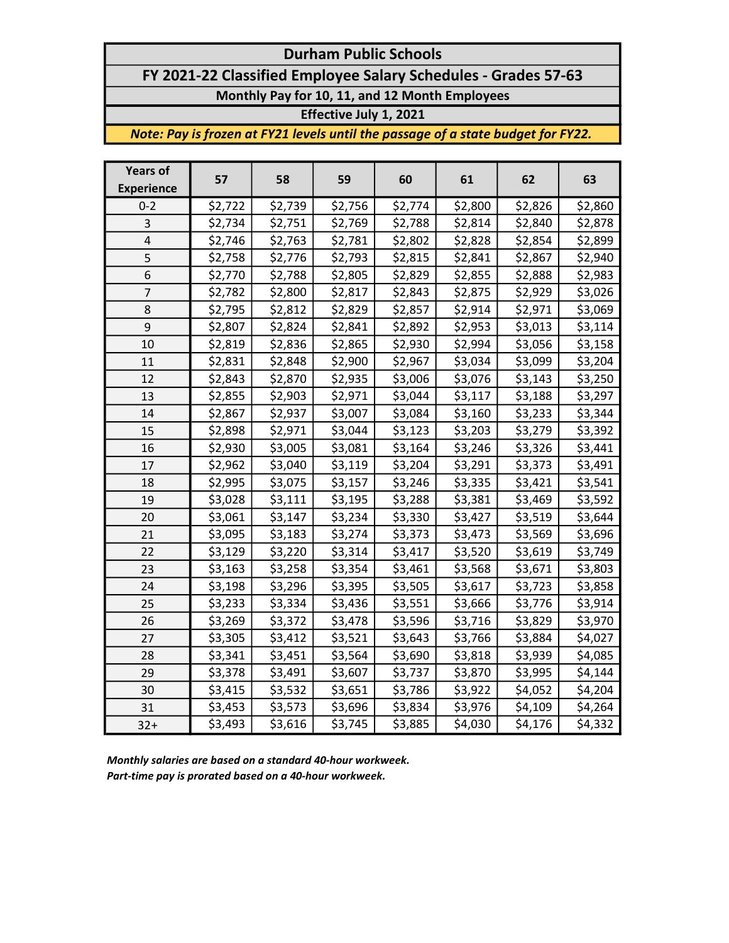## Durham Public Schools FY 2021-22 Classified Employee Salary Schedules - Grades 57-63 Monthly Pay for 10, 11, and 12 Month Employees

#### Effective July 1, 2021

Note: Pay is frozen at FY21 levels until the passage of a state budget for FY22.

| <b>Years of</b><br><b>Experience</b> | 57      | 58      | 59      | 60      | 61      | 62      | 63      |
|--------------------------------------|---------|---------|---------|---------|---------|---------|---------|
| $0 - 2$                              | \$2,722 | \$2,739 | \$2,756 | \$2,774 | \$2,800 | \$2,826 | \$2,860 |
| 3                                    | \$2,734 | \$2,751 | \$2,769 | \$2,788 | \$2,814 | \$2,840 | \$2,878 |
| $\overline{4}$                       | \$2,746 | \$2,763 | \$2,781 | \$2,802 | \$2,828 | \$2,854 | \$2,899 |
| 5                                    | \$2,758 | \$2,776 | \$2,793 | \$2,815 | \$2,841 | \$2,867 | \$2,940 |
| 6                                    | \$2,770 | \$2,788 | \$2,805 | \$2,829 | \$2,855 | \$2,888 | \$2,983 |
| $\overline{7}$                       | \$2,782 | \$2,800 | \$2,817 | \$2,843 | \$2,875 | \$2,929 | \$3,026 |
| 8                                    | \$2,795 | \$2,812 | \$2,829 | \$2,857 | \$2,914 | \$2,971 | \$3,069 |
| 9                                    | \$2,807 | \$2,824 | \$2,841 | \$2,892 | \$2,953 | \$3,013 | \$3,114 |
| 10                                   | \$2,819 | \$2,836 | \$2,865 | \$2,930 | \$2,994 | \$3,056 | \$3,158 |
| 11                                   | \$2,831 | \$2,848 | \$2,900 | \$2,967 | \$3,034 | \$3,099 | \$3,204 |
| 12                                   | \$2,843 | \$2,870 | \$2,935 | \$3,006 | \$3,076 | \$3,143 | \$3,250 |
| 13                                   | \$2,855 | \$2,903 | \$2,971 | \$3,044 | \$3,117 | \$3,188 | \$3,297 |
| 14                                   | \$2,867 | \$2,937 | \$3,007 | \$3,084 | \$3,160 | \$3,233 | \$3,344 |
| 15                                   | \$2,898 | \$2,971 | \$3,044 | \$3,123 | \$3,203 | \$3,279 | \$3,392 |
| 16                                   | \$2,930 | \$3,005 | \$3,081 | \$3,164 | \$3,246 | \$3,326 | \$3,441 |
| 17                                   | \$2,962 | \$3,040 | \$3,119 | \$3,204 | \$3,291 | \$3,373 | \$3,491 |
| 18                                   | \$2,995 | \$3,075 | \$3,157 | \$3,246 | \$3,335 | \$3,421 | \$3,541 |
| 19                                   | \$3,028 | \$3,111 | \$3,195 | \$3,288 | \$3,381 | \$3,469 | \$3,592 |
| 20                                   | \$3,061 | \$3,147 | \$3,234 | \$3,330 | \$3,427 | \$3,519 | \$3,644 |
| 21                                   | \$3,095 | \$3,183 | \$3,274 | \$3,373 | \$3,473 | \$3,569 | \$3,696 |
| 22                                   | \$3,129 | \$3,220 | \$3,314 | \$3,417 | \$3,520 | \$3,619 | \$3,749 |
| 23                                   | \$3,163 | \$3,258 | \$3,354 | \$3,461 | \$3,568 | \$3,671 | \$3,803 |
| 24                                   | \$3,198 | \$3,296 | \$3,395 | \$3,505 | \$3,617 | \$3,723 | \$3,858 |
| 25                                   | \$3,233 | \$3,334 | \$3,436 | \$3,551 | \$3,666 | \$3,776 | \$3,914 |
| 26                                   | \$3,269 | \$3,372 | \$3,478 | \$3,596 | \$3,716 | \$3,829 | \$3,970 |
| 27                                   | \$3,305 | \$3,412 | \$3,521 | \$3,643 | \$3,766 | \$3,884 | \$4,027 |
| 28                                   | \$3,341 | \$3,451 | \$3,564 | \$3,690 | \$3,818 | \$3,939 | \$4,085 |
| 29                                   | \$3,378 | \$3,491 | \$3,607 | \$3,737 | \$3,870 | \$3,995 | \$4,144 |
| 30                                   | \$3,415 | \$3,532 | \$3,651 | \$3,786 | \$3,922 | \$4,052 | \$4,204 |
| 31                                   | \$3,453 | \$3,573 | \$3,696 | \$3,834 | \$3,976 | \$4,109 | \$4,264 |
| $32+$                                | \$3,493 | \$3,616 | \$3,745 | \$3,885 | \$4,030 | \$4,176 | \$4,332 |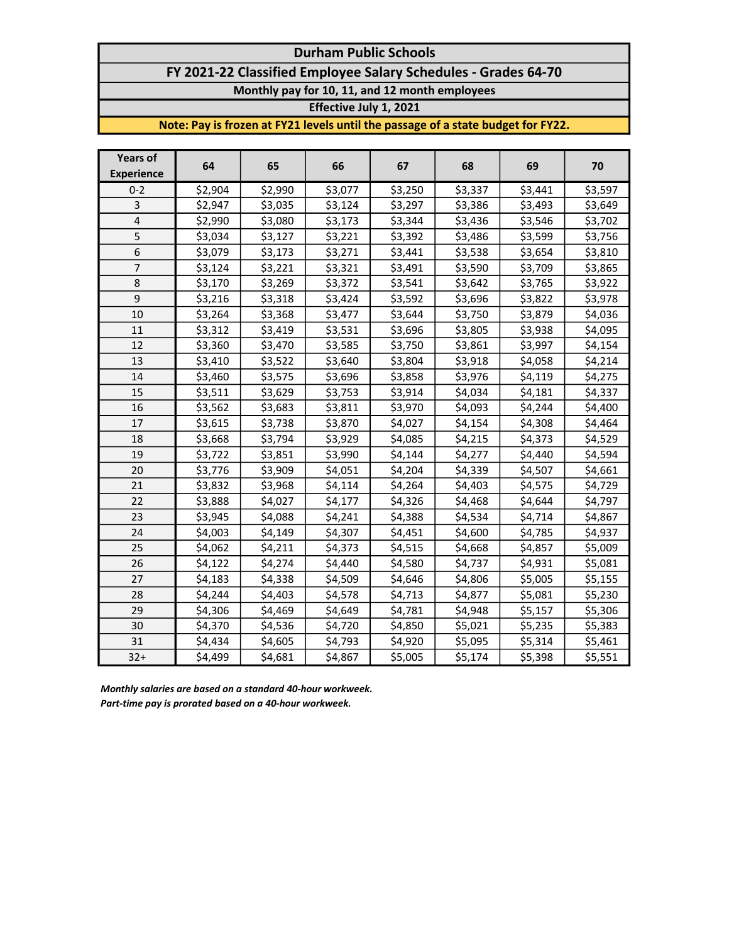### Durham Public Schools FY 2021-22 Classified Employee Salary Schedules - Grades 64-70 Monthly pay for 10, 11, and 12 month employees

Effective July 1, 2021

Note: Pay is frozen at FY21 levels until the passage of a state budget for FY22.

| <b>Years of</b><br><b>Experience</b> | 64      | 65      | 66      | 67      | 68      | 69      | 70      |
|--------------------------------------|---------|---------|---------|---------|---------|---------|---------|
| $0 - 2$                              | \$2,904 | \$2,990 | \$3,077 | \$3,250 | \$3,337 | \$3,441 | \$3,597 |
| 3                                    | \$2,947 | \$3,035 | \$3,124 | \$3,297 | \$3,386 | \$3,493 | \$3,649 |
| $\overline{\mathbf{4}}$              | \$2,990 | \$3,080 | \$3,173 | \$3,344 | \$3,436 | \$3,546 | \$3,702 |
| 5                                    | \$3,034 | \$3,127 | \$3,221 | \$3,392 | \$3,486 | \$3,599 | \$3,756 |
| 6                                    | \$3,079 | \$3,173 | \$3,271 | \$3,441 | \$3,538 | \$3,654 | \$3,810 |
| $\overline{7}$                       | \$3,124 | \$3,221 | \$3,321 | \$3,491 | \$3,590 | \$3,709 | \$3,865 |
| 8                                    | \$3,170 | \$3,269 | \$3,372 | \$3,541 | \$3,642 | \$3,765 | \$3,922 |
| 9                                    | \$3,216 | \$3,318 | \$3,424 | \$3,592 | \$3,696 | \$3,822 | \$3,978 |
| 10                                   | \$3,264 | \$3,368 | \$3,477 | \$3,644 | \$3,750 | \$3,879 | \$4,036 |
| 11                                   | \$3,312 | \$3,419 | \$3,531 | \$3,696 | \$3,805 | \$3,938 | \$4,095 |
| 12                                   | \$3,360 | \$3,470 | \$3,585 | \$3,750 | \$3,861 | \$3,997 | \$4,154 |
| 13                                   | \$3,410 | \$3,522 | \$3,640 | \$3,804 | \$3,918 | \$4,058 | \$4,214 |
| 14                                   | \$3,460 | \$3,575 | \$3,696 | \$3,858 | \$3,976 | \$4,119 | \$4,275 |
| 15                                   | \$3,511 | \$3,629 | \$3,753 | \$3,914 | \$4,034 | \$4,181 | \$4,337 |
| 16                                   | \$3,562 | \$3,683 | \$3,811 | \$3,970 | \$4,093 | \$4,244 | \$4,400 |
| 17                                   | \$3,615 | \$3,738 | \$3,870 | \$4,027 | \$4,154 | \$4,308 | \$4,464 |
| 18                                   | \$3,668 | \$3,794 | \$3,929 | \$4,085 | \$4,215 | \$4,373 | \$4,529 |
| 19                                   | \$3,722 | \$3,851 | \$3,990 | \$4,144 | \$4,277 | \$4,440 | \$4,594 |
| 20                                   | \$3,776 | \$3,909 | \$4,051 | \$4,204 | \$4,339 | \$4,507 | \$4,661 |
| 21                                   | \$3,832 | \$3,968 | \$4,114 | \$4,264 | \$4,403 | \$4,575 | \$4,729 |
| 22                                   | \$3,888 | \$4,027 | \$4,177 | \$4,326 | \$4,468 | \$4,644 | \$4,797 |
| 23                                   | \$3,945 | \$4,088 | \$4,241 | \$4,388 | \$4,534 | \$4,714 | \$4,867 |
| 24                                   | \$4,003 | \$4,149 | \$4,307 | \$4,451 | \$4,600 | \$4,785 | \$4,937 |
| 25                                   | \$4,062 | \$4,211 | \$4,373 | \$4,515 | \$4,668 | \$4,857 | \$5,009 |
| 26                                   | \$4,122 | \$4,274 | \$4,440 | \$4,580 | \$4,737 | \$4,931 | \$5,081 |
| 27                                   | \$4,183 | \$4,338 | \$4,509 | \$4,646 | \$4,806 | \$5,005 | \$5,155 |
| 28                                   | \$4,244 | \$4,403 | \$4,578 | \$4,713 | \$4,877 | \$5,081 | \$5,230 |
| 29                                   | \$4,306 | \$4,469 | \$4,649 | \$4,781 | \$4,948 | \$5,157 | \$5,306 |
| 30                                   | \$4,370 | \$4,536 | \$4,720 | \$4,850 | \$5,021 | \$5,235 | \$5,383 |
| 31                                   | \$4,434 | \$4,605 | \$4,793 | \$4,920 | \$5,095 | \$5,314 | \$5,461 |
| $32+$                                | \$4,499 | \$4,681 | \$4,867 | \$5,005 | \$5,174 | \$5,398 | \$5,551 |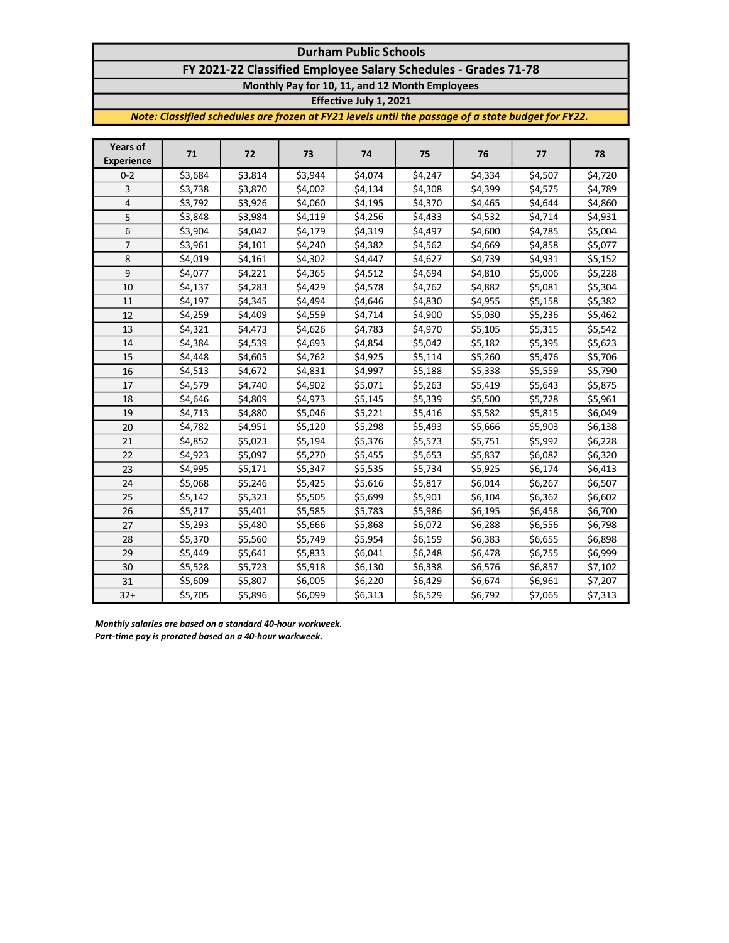## Durham Public Schools

FY 2021-22 Classified Employee Salary Schedules - Grades 71-78

Monthly Pay for 10, 11, and 12 Month Employees

Effective July 1, 2021

Note: Classified schedules are frozen at FY21 levels until the passage of a state budget for FY22.

| <b>Years of</b><br><b>Experience</b> | 71      | 72      | 73      | 74                  | 75      | 76      | 77      | 78      |
|--------------------------------------|---------|---------|---------|---------------------|---------|---------|---------|---------|
| $0 - 2$                              | \$3,684 | \$3,814 | \$3,944 | $\overline{$}4,074$ | \$4,247 | \$4,334 | \$4,507 | \$4,720 |
| 3                                    | \$3,738 | \$3,870 | \$4,002 | \$4,134             | \$4,308 | \$4,399 | \$4,575 | \$4,789 |
| 4                                    | \$3,792 | \$3,926 | \$4,060 | \$4,195             | \$4,370 | \$4,465 | \$4,644 | \$4,860 |
| 5                                    | \$3,848 | \$3,984 | \$4,119 | \$4,256             | \$4,433 | \$4,532 | \$4,714 | \$4,931 |
| 6                                    | \$3,904 | \$4,042 | \$4,179 | \$4,319             | \$4,497 | \$4,600 | \$4,785 | \$5,004 |
| 7                                    | \$3,961 | \$4,101 | \$4,240 | \$4,382             | \$4,562 | \$4,669 | \$4,858 | \$5,077 |
| 8                                    | \$4,019 | \$4,161 | \$4,302 | \$4,447             | \$4,627 | \$4,739 | \$4,931 | \$5,152 |
| 9                                    | \$4,077 | \$4,221 | \$4,365 | \$4,512             | \$4,694 | \$4,810 | \$5,006 | \$5,228 |
| 10                                   | \$4,137 | \$4,283 | \$4,429 | \$4,578             | \$4,762 | \$4,882 | \$5,081 | \$5,304 |
| 11                                   | \$4,197 | \$4,345 | \$4,494 | \$4,646             | \$4,830 | \$4,955 | \$5,158 | \$5,382 |
| 12                                   | \$4,259 | \$4,409 | \$4,559 | \$4,714             | \$4,900 | \$5,030 | \$5,236 | \$5,462 |
| 13                                   | \$4,321 | \$4,473 | \$4,626 | \$4,783             | \$4,970 | \$5,105 | \$5,315 | \$5,542 |
| 14                                   | \$4,384 | \$4,539 | \$4,693 | \$4,854             | \$5,042 | \$5,182 | \$5,395 | \$5,623 |
| 15                                   | \$4,448 | \$4,605 | \$4,762 | \$4,925             | \$5,114 | \$5,260 | \$5,476 | \$5,706 |
| 16                                   | \$4,513 | \$4,672 | \$4,831 | \$4,997             | \$5,188 | \$5,338 | \$5,559 | \$5,790 |
| 17                                   | \$4,579 | \$4,740 | \$4,902 | \$5,071             | \$5,263 | \$5,419 | \$5,643 | \$5,875 |
| 18                                   | \$4,646 | \$4,809 | \$4,973 | \$5,145             | \$5,339 | \$5,500 | \$5,728 | \$5,961 |
| 19                                   | \$4,713 | \$4,880 | \$5,046 | \$5,221             | \$5,416 | \$5,582 | \$5,815 | \$6,049 |
| 20                                   | \$4,782 | \$4,951 | \$5,120 | \$5,298             | \$5,493 | \$5,666 | \$5,903 | \$6,138 |
| 21                                   | \$4,852 | \$5,023 | \$5,194 | \$5,376             | \$5,573 | \$5,751 | \$5,992 | \$6,228 |
| 22                                   | \$4,923 | \$5,097 | \$5,270 | \$5,455             | \$5,653 | \$5,837 | \$6,082 | \$6,320 |
| 23                                   | \$4,995 | \$5,171 | \$5,347 | \$5,535             | \$5,734 | \$5,925 | \$6,174 | \$6,413 |
| 24                                   | \$5,068 | \$5,246 | \$5,425 | \$5,616             | \$5,817 | \$6,014 | \$6,267 | \$6,507 |
| 25                                   | \$5,142 | \$5,323 | \$5,505 | \$5,699             | \$5,901 | \$6,104 | \$6,362 | \$6,602 |
| 26                                   | \$5,217 | \$5,401 | \$5,585 | \$5,783             | \$5,986 | \$6,195 | \$6,458 | \$6,700 |
| 27                                   | \$5,293 | \$5,480 | \$5,666 | \$5,868             | \$6,072 | \$6,288 | \$6,556 | \$6,798 |
| 28                                   | \$5,370 | \$5,560 | \$5,749 | \$5,954             | \$6,159 | \$6,383 | \$6,655 | \$6,898 |
| 29                                   | \$5,449 | \$5,641 | \$5,833 | \$6,041             | \$6,248 | \$6,478 | \$6,755 | \$6,999 |
| 30                                   | \$5,528 | \$5,723 | \$5,918 | \$6,130             | \$6,338 | \$6,576 | \$6,857 | \$7,102 |
| 31                                   | \$5,609 | \$5,807 | \$6,005 | \$6,220             | \$6,429 | \$6,674 | \$6,961 | \$7,207 |
| $32+$                                | \$5,705 | \$5,896 | \$6,099 | \$6,313             | \$6,529 | \$6,792 | \$7,065 | \$7,313 |